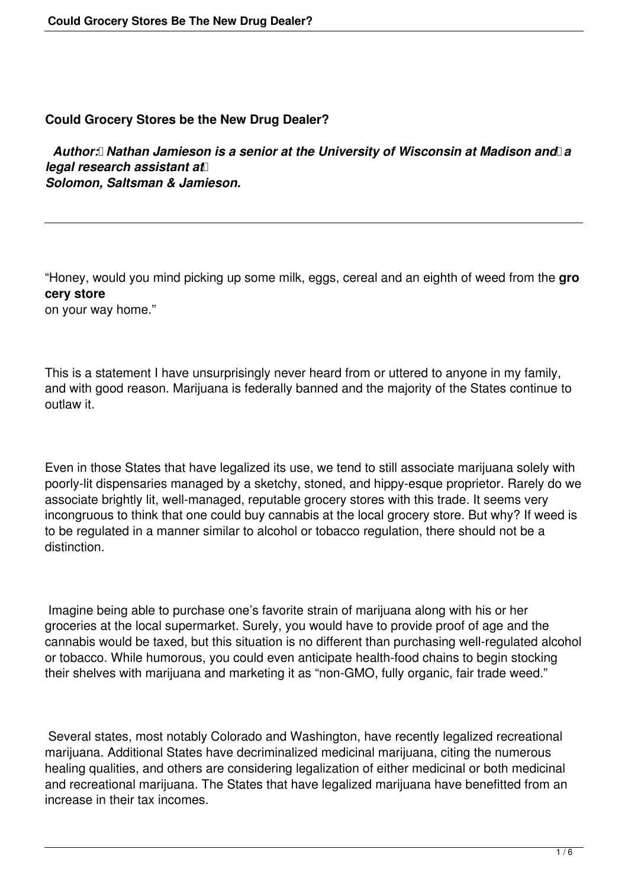## **Could Grocery Stores be the New Drug Dealer?**

 *Author: Nathan Jamieson is a senior at the University of Wisconsin at Madison and a legal research assistant at Solomon, Saltsman & Jamieson.*

"Honey, would you mind picking up some milk, eggs, cereal and an eighth of weed from the **gro cery store**

on your way home."

This is a statement I have unsurprisingly never heard from or uttered to anyone in my family, and with good reason. Marijuana is federally banned and the majority of the States continue to outlaw it.

Even in those States that have legalized its use, we tend to still associate marijuana solely with poorly-lit dispensaries managed by a sketchy, stoned, and hippy-esque proprietor. Rarely do we associate brightly lit, well-managed, reputable grocery stores with this trade. It seems very incongruous to think that one could buy cannabis at the local grocery store. But why? If weed is to be regulated in a manner similar to alcohol or tobacco regulation, there should not be a distinction.

 Imagine being able to purchase one's favorite strain of marijuana along with his or her groceries at the local supermarket. Surely, you would have to provide proof of age and the cannabis would be taxed, but this situation is no different than purchasing well-regulated alcohol or tobacco. While humorous, you could even anticipate health-food chains to begin stocking their shelves with marijuana and marketing it as "non-GMO, fully organic, fair trade weed."

 Several states, most notably Colorado and Washington, have recently legalized recreational marijuana. Additional States have decriminalized medicinal marijuana, citing the numerous healing qualities, and others are considering legalization of either medicinal or both medicinal and recreational marijuana. The States that have legalized marijuana have benefitted from an increase in their tax incomes.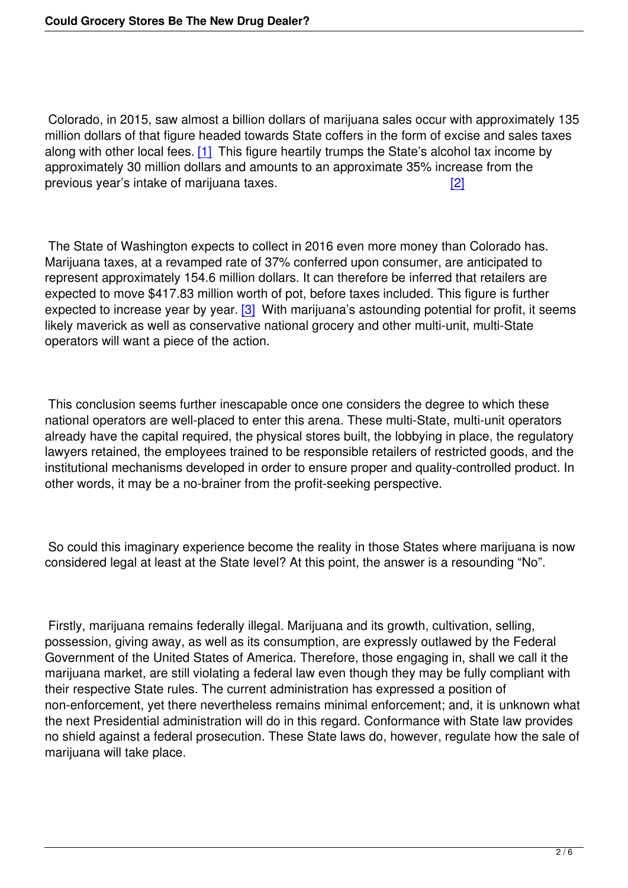Colorado, in 2015, saw almost a billion dollars of marijuana sales occur with approximately 135 million dollars of that figure headed towards State coffers in the form of excise and sales taxes along with other local fees. [1] This figure heartily trumps the State's alcohol tax income by approximately 30 million dollars and amounts to an approximate 35% increase from the previous year's intake of marijuana taxes. [2]

 The State of Washington expects to collect in 2016 even more money t[han](file:///C:/Users/cmowry/AppData/Local/Microsoft/Windows/Temporary%20Internet%20Files/Content.Outlook/G9H4A3IT/Marijuana%20Article%20(3)%20-%20by%20Nathan%20Jamieson.docx#_ftn2) Colorado has. Marijuana taxes, at a revamped rate of 37% conferred upon consumer, are anticipated to represent approximately 154.6 million dollars. It can therefore be inferred that retailers are expected to move \$417.83 million worth of pot, before taxes included. This figure is further expected to increase year by year. [3] With marijuana's astounding potential for profit, it seems likely maverick as well as conservative national grocery and other multi-unit, multi-State operators will want a piece of the action.

 This conclusion seems further inescapable once one considers the degree to which these national operators are well-placed to enter this arena. These multi-State, multi-unit operators already have the capital required, the physical stores built, the lobbying in place, the regulatory lawyers retained, the employees trained to be responsible retailers of restricted goods, and the institutional mechanisms developed in order to ensure proper and quality-controlled product. In other words, it may be a no-brainer from the profit-seeking perspective.

 So could this imaginary experience become the reality in those States where marijuana is now considered legal at least at the State level? At this point, the answer is a resounding "No".

 Firstly, marijuana remains federally illegal. Marijuana and its growth, cultivation, selling, possession, giving away, as well as its consumption, are expressly outlawed by the Federal Government of the United States of America. Therefore, those engaging in, shall we call it the marijuana market, are still violating a federal law even though they may be fully compliant with their respective State rules. The current administration has expressed a position of non-enforcement, yet there nevertheless remains minimal enforcement; and, it is unknown what the next Presidential administration will do in this regard. Conformance with State law provides no shield against a federal prosecution. These State laws do, however, regulate how the sale of marijuana will take place.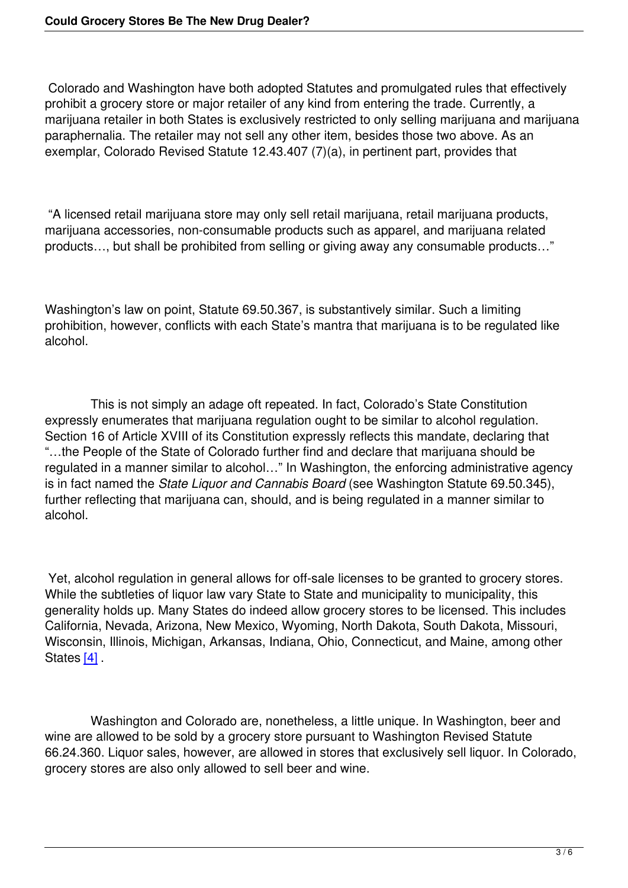Colorado and Washington have both adopted Statutes and promulgated rules that effectively prohibit a grocery store or major retailer of any kind from entering the trade. Currently, a marijuana retailer in both States is exclusively restricted to only selling marijuana and marijuana paraphernalia. The retailer may not sell any other item, besides those two above. As an exemplar, Colorado Revised Statute 12.43.407 (7)(a), in pertinent part, provides that

 "A licensed retail marijuana store may only sell retail marijuana, retail marijuana products, marijuana accessories, non-consumable products such as apparel, and marijuana related products…, but shall be prohibited from selling or giving away any consumable products…"

Washington's law on point, Statute 69.50.367, is substantively similar. Such a limiting prohibition, however, conflicts with each State's mantra that marijuana is to be regulated like alcohol.

 This is not simply an adage oft repeated. In fact, Colorado's State Constitution expressly enumerates that marijuana regulation ought to be similar to alcohol regulation. Section 16 of Article XVIII of its Constitution expressly reflects this mandate, declaring that "…the People of the State of Colorado further find and declare that marijuana should be regulated in a manner similar to alcohol…" In Washington, the enforcing administrative agency is in fact named the *State Liquor and Cannabis Board* (see Washington Statute 69.50.345), further reflecting that marijuana can, should, and is being regulated in a manner similar to alcohol.

 Yet, alcohol regulation in general allows for off-sale licenses to be granted to grocery stores. While the subtleties of liquor law vary State to State and municipality to municipality, this generality holds up. Many States do indeed allow grocery stores to be licensed. This includes California, Nevada, Arizona, New Mexico, Wyoming, North Dakota, South Dakota, Missouri, Wisconsin, Illinois, Michigan, Arkansas, Indiana, Ohio, Connecticut, and Maine, among other States [4].

  [W](file:///C:/Users/cmowry/AppData/Local/Microsoft/Windows/Temporary%20Internet%20Files/Content.Outlook/G9H4A3IT/Marijuana%20Article%20(3)%20-%20by%20Nathan%20Jamieson.docx#_ftn4)ashington and Colorado are, nonetheless, a little unique. In Washington, beer and wine are allowed to be sold by a grocery store pursuant to Washington Revised Statute 66.24.360. Liquor sales, however, are allowed in stores that exclusively sell liquor. In Colorado, grocery stores are also only allowed to sell beer and wine.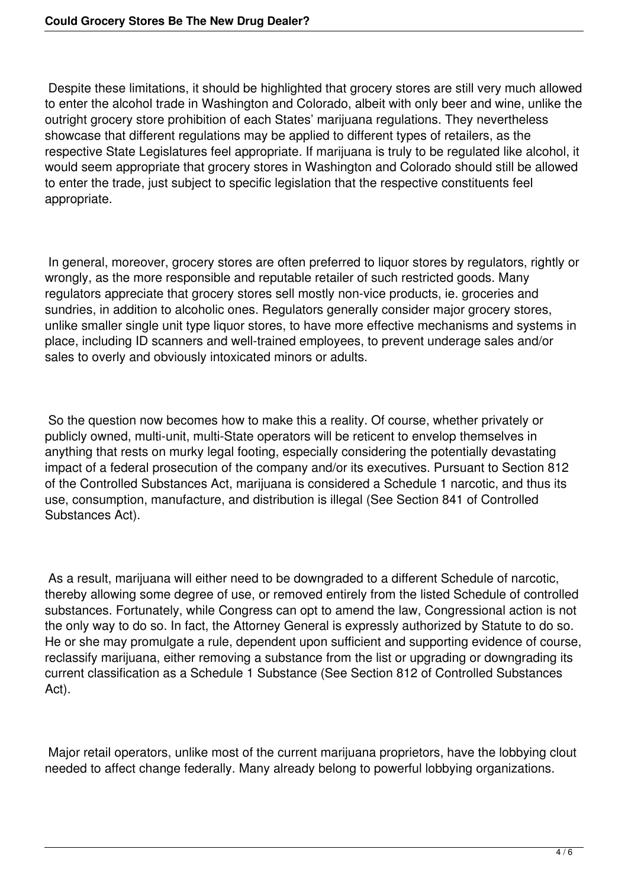Despite these limitations, it should be highlighted that grocery stores are still very much allowed to enter the alcohol trade in Washington and Colorado, albeit with only beer and wine, unlike the outright grocery store prohibition of each States' marijuana regulations. They nevertheless showcase that different regulations may be applied to different types of retailers, as the respective State Legislatures feel appropriate. If marijuana is truly to be regulated like alcohol, it would seem appropriate that grocery stores in Washington and Colorado should still be allowed to enter the trade, just subject to specific legislation that the respective constituents feel appropriate.

 In general, moreover, grocery stores are often preferred to liquor stores by regulators, rightly or wrongly, as the more responsible and reputable retailer of such restricted goods. Many regulators appreciate that grocery stores sell mostly non-vice products, ie. groceries and sundries, in addition to alcoholic ones. Regulators generally consider major grocery stores, unlike smaller single unit type liquor stores, to have more effective mechanisms and systems in place, including ID scanners and well-trained employees, to prevent underage sales and/or sales to overly and obviously intoxicated minors or adults.

 So the question now becomes how to make this a reality. Of course, whether privately or publicly owned, multi-unit, multi-State operators will be reticent to envelop themselves in anything that rests on murky legal footing, especially considering the potentially devastating impact of a federal prosecution of the company and/or its executives. Pursuant to Section 812 of the Controlled Substances Act, marijuana is considered a Schedule 1 narcotic, and thus its use, consumption, manufacture, and distribution is illegal (See Section 841 of Controlled Substances Act).

 As a result, marijuana will either need to be downgraded to a different Schedule of narcotic, thereby allowing some degree of use, or removed entirely from the listed Schedule of controlled substances. Fortunately, while Congress can opt to amend the law, Congressional action is not the only way to do so. In fact, the Attorney General is expressly authorized by Statute to do so. He or she may promulgate a rule, dependent upon sufficient and supporting evidence of course, reclassify marijuana, either removing a substance from the list or upgrading or downgrading its current classification as a Schedule 1 Substance (See Section 812 of Controlled Substances Act).

 Major retail operators, unlike most of the current marijuana proprietors, have the lobbying clout needed to affect change federally. Many already belong to powerful lobbying organizations.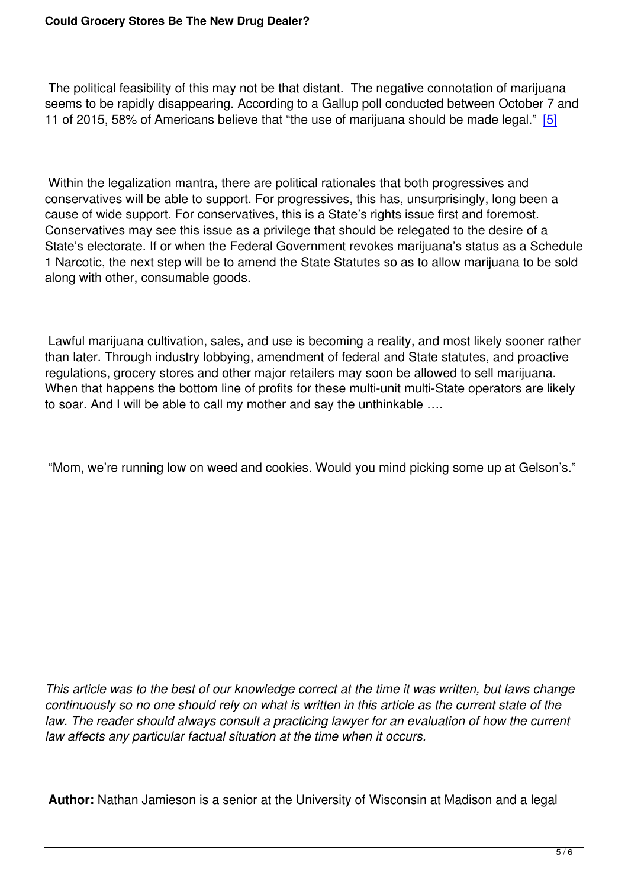The political feasibility of this may not be that distant. The negative connotation of marijuana seems to be rapidly disappearing. According to a Gallup poll conducted between October 7 and 11 of 2015, 58% of Americans believe that "the use of marijuana should be made legal." [5]

 Within the legalization mantra, there are political rationales that both progressives and conservatives will be able to support. For progressives, this has, unsurprisingly, long been a cause of wide support. For conservatives, this is a State's rights issue first and foremost. Conservatives may see this issue as a privilege that should be relegated to the desire of a State's electorate. If or when the Federal Government revokes marijuana's status as a Schedule 1 Narcotic, the next step will be to amend the State Statutes so as to allow marijuana to be sold along with other, consumable goods.

 Lawful marijuana cultivation, sales, and use is becoming a reality, and most likely sooner rather than later. Through industry lobbying, amendment of federal and State statutes, and proactive regulations, grocery stores and other major retailers may soon be allowed to sell marijuana. When that happens the bottom line of profits for these multi-unit multi-State operators are likely to soar. And I will be able to call my mother and say the unthinkable ….

"Mom, we're running low on weed and cookies. Would you mind picking some up at Gelson's."

*This article was to the best of our knowledge correct at the time it was written, but laws change continuously so no one should rely on what is written in this article as the current state of the law. The reader should always consult a practicing lawyer for an evaluation of how the current law affects any particular factual situation at the time when it occurs.*

**Author:** Nathan Jamieson is a senior at the University of Wisconsin at Madison and a legal